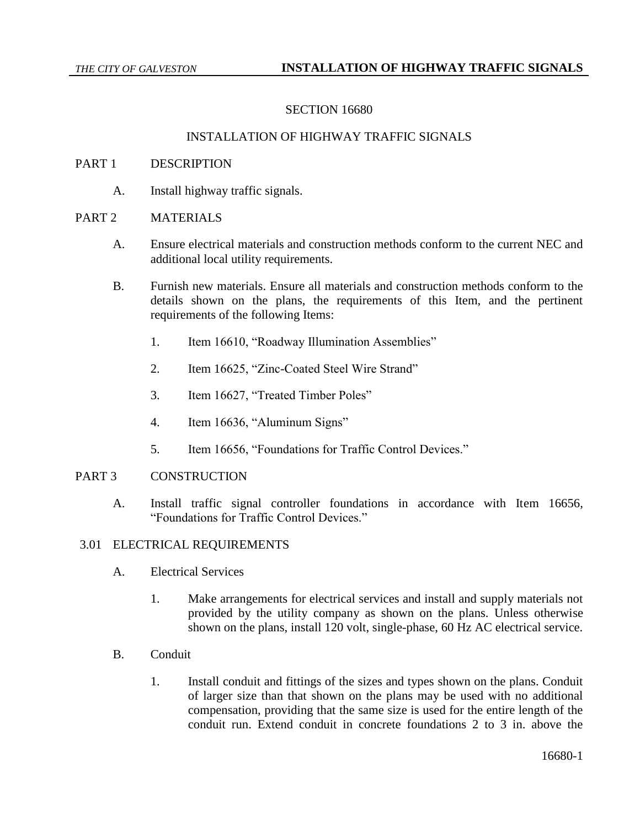## SECTION 16680

### INSTALLATION OF HIGHWAY TRAFFIC SIGNALS

#### PART 1 DESCRIPTION

A. Install highway traffic signals.

#### PART 2 MATERIALS

- A. Ensure electrical materials and construction methods conform to the current NEC and additional local utility requirements.
- B. Furnish new materials. Ensure all materials and construction methods conform to the details shown on the plans, the requirements of this Item, and the pertinent requirements of the following Items:
	- 1. Item 16610, "Roadway Illumination Assemblies"
	- 2. Item 16625, "Zinc-Coated Steel Wire Strand"
	- 3. Item 16627, "Treated Timber Poles"
	- 4. Item 16636, "Aluminum Signs"
	- 5. Item 16656, "Foundations for Traffic Control Devices."

## PART 3 CONSTRUCTION

A. Install traffic signal controller foundations in accordance with Item 16656, "Foundations for Traffic Control Devices."

#### 3.01 ELECTRICAL REQUIREMENTS

- A. Electrical Services
	- 1. Make arrangements for electrical services and install and supply materials not provided by the utility company as shown on the plans. Unless otherwise shown on the plans, install 120 volt, single-phase, 60 Hz AC electrical service.
- B. Conduit
	- 1. Install conduit and fittings of the sizes and types shown on the plans. Conduit of larger size than that shown on the plans may be used with no additional compensation, providing that the same size is used for the entire length of the conduit run. Extend conduit in concrete foundations 2 to 3 in. above the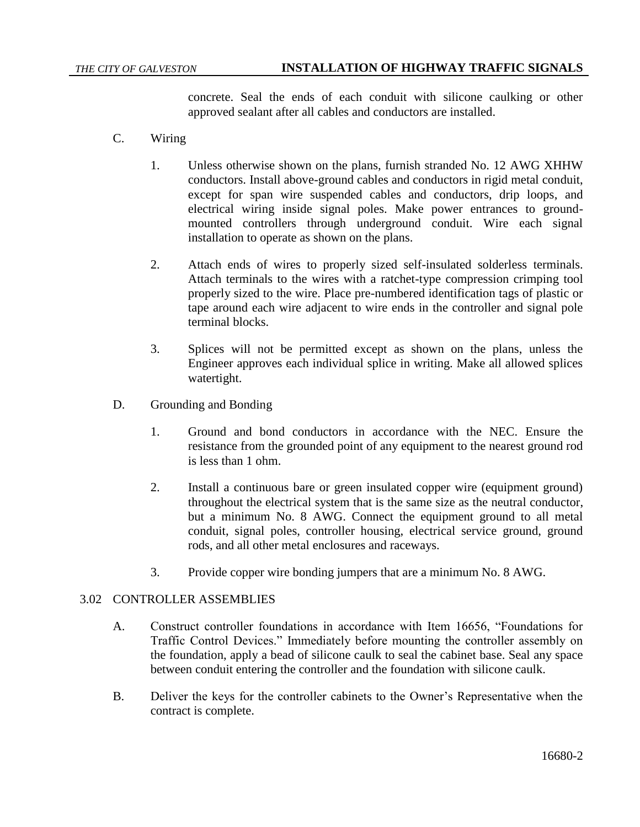concrete. Seal the ends of each conduit with silicone caulking or other approved sealant after all cables and conductors are installed.

- C. Wiring
	- 1. Unless otherwise shown on the plans, furnish stranded No. 12 AWG XHHW conductors. Install above-ground cables and conductors in rigid metal conduit, except for span wire suspended cables and conductors, drip loops, and electrical wiring inside signal poles. Make power entrances to groundmounted controllers through underground conduit. Wire each signal installation to operate as shown on the plans.
	- 2. Attach ends of wires to properly sized self-insulated solderless terminals. Attach terminals to the wires with a ratchet-type compression crimping tool properly sized to the wire. Place pre-numbered identification tags of plastic or tape around each wire adjacent to wire ends in the controller and signal pole terminal blocks.
	- 3. Splices will not be permitted except as shown on the plans, unless the Engineer approves each individual splice in writing. Make all allowed splices watertight.
- D. Grounding and Bonding
	- 1. Ground and bond conductors in accordance with the NEC. Ensure the resistance from the grounded point of any equipment to the nearest ground rod is less than 1 ohm.
	- 2. Install a continuous bare or green insulated copper wire (equipment ground) throughout the electrical system that is the same size as the neutral conductor, but a minimum No. 8 AWG. Connect the equipment ground to all metal conduit, signal poles, controller housing, electrical service ground, ground rods, and all other metal enclosures and raceways.
	- 3. Provide copper wire bonding jumpers that are a minimum No. 8 AWG.

### 3.02 CONTROLLER ASSEMBLIES

- A. Construct controller foundations in accordance with Item 16656, "Foundations for Traffic Control Devices." Immediately before mounting the controller assembly on the foundation, apply a bead of silicone caulk to seal the cabinet base. Seal any space between conduit entering the controller and the foundation with silicone caulk.
- B. Deliver the keys for the controller cabinets to the Owner's Representative when the contract is complete.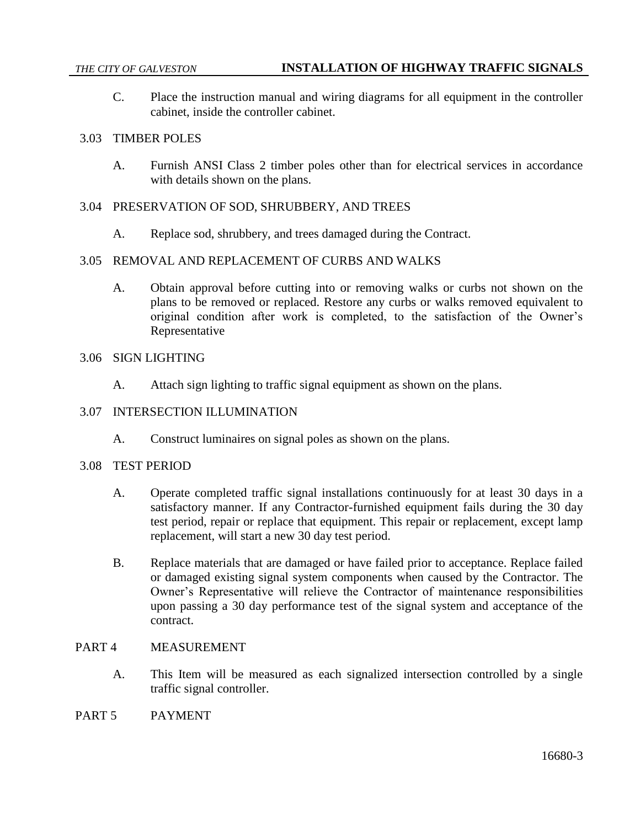C. Place the instruction manual and wiring diagrams for all equipment in the controller cabinet, inside the controller cabinet.

## 3.03 TIMBER POLES

A. Furnish ANSI Class 2 timber poles other than for electrical services in accordance with details shown on the plans.

## 3.04 PRESERVATION OF SOD, SHRUBBERY, AND TREES

A. Replace sod, shrubbery, and trees damaged during the Contract.

## 3.05 REMOVAL AND REPLACEMENT OF CURBS AND WALKS

A. Obtain approval before cutting into or removing walks or curbs not shown on the plans to be removed or replaced. Restore any curbs or walks removed equivalent to original condition after work is completed, to the satisfaction of the Owner's Representative

## 3.06 SIGN LIGHTING

A. Attach sign lighting to traffic signal equipment as shown on the plans.

#### 3.07 INTERSECTION ILLUMINATION

A. Construct luminaires on signal poles as shown on the plans.

#### 3.08 TEST PERIOD

- A. Operate completed traffic signal installations continuously for at least 30 days in a satisfactory manner. If any Contractor-furnished equipment fails during the 30 day test period, repair or replace that equipment. This repair or replacement, except lamp replacement, will start a new 30 day test period.
- B. Replace materials that are damaged or have failed prior to acceptance. Replace failed or damaged existing signal system components when caused by the Contractor. The Owner's Representative will relieve the Contractor of maintenance responsibilities upon passing a 30 day performance test of the signal system and acceptance of the contract.

### PART 4 MEASUREMENT

- A. This Item will be measured as each signalized intersection controlled by a single traffic signal controller.
- PART 5 PAYMENT